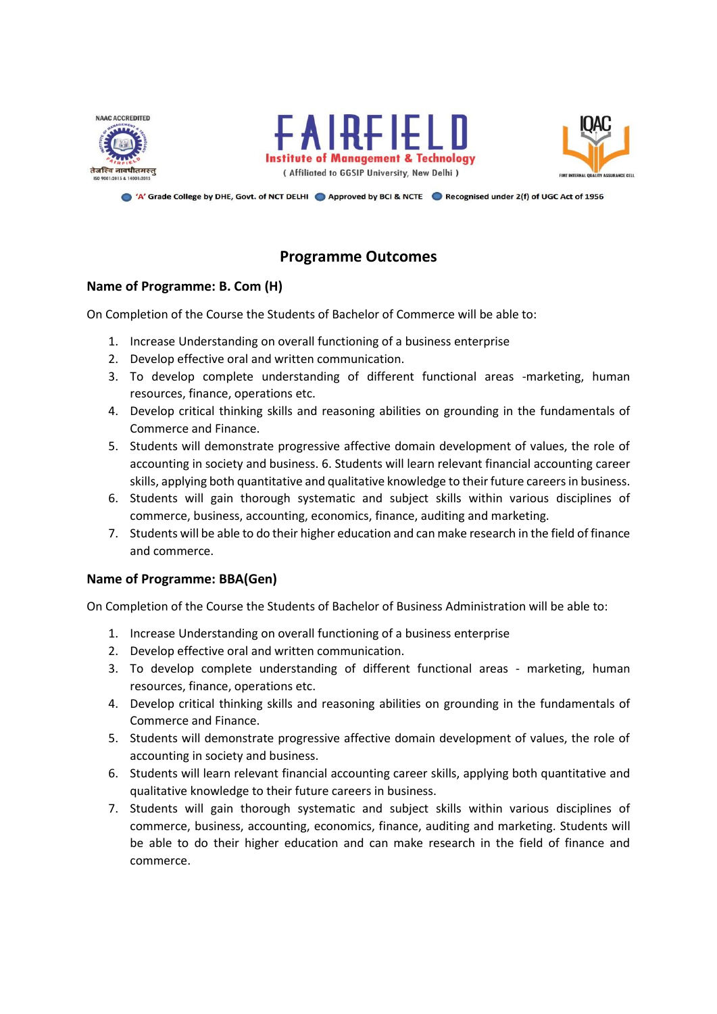





A' Grade College by DHE, Govt. of NCT DELHI Approved by BCI & NCTE A Recognised under 2(f) of UGC Act of 1956

# **Programme Outcomes**

#### **Name of Programme: B. Com (H)**

On Completion of the Course the Students of Bachelor of Commerce will be able to:

- 1. Increase Understanding on overall functioning of a business enterprise
- 2. Develop effective oral and written communication.
- 3. To develop complete understanding of different functional areas -marketing, human resources, finance, operations etc.
- 4. Develop critical thinking skills and reasoning abilities on grounding in the fundamentals of Commerce and Finance.
- 5. Students will demonstrate progressive affective domain development of values, the role of accounting in society and business. 6. Students will learn relevant financial accounting career skills, applying both quantitative and qualitative knowledge to their future careers in business.
- 6. Students will gain thorough systematic and subject skills within various disciplines of commerce, business, accounting, economics, finance, auditing and marketing.
- 7. Students will be able to do their higher education and can make research in the field of finance and commerce.

#### **Name of Programme: BBA(Gen)**

On Completion of the Course the Students of Bachelor of Business Administration will be able to:

- 1. Increase Understanding on overall functioning of a business enterprise
- 2. Develop effective oral and written communication.
- 3. To develop complete understanding of different functional areas marketing, human resources, finance, operations etc.
- 4. Develop critical thinking skills and reasoning abilities on grounding in the fundamentals of Commerce and Finance.
- 5. Students will demonstrate progressive affective domain development of values, the role of accounting in society and business.
- 6. Students will learn relevant financial accounting career skills, applying both quantitative and qualitative knowledge to their future careers in business.
- 7. Students will gain thorough systematic and subject skills within various disciplines of commerce, business, accounting, economics, finance, auditing and marketing. Students will be able to do their higher education and can make research in the field of finance and commerce.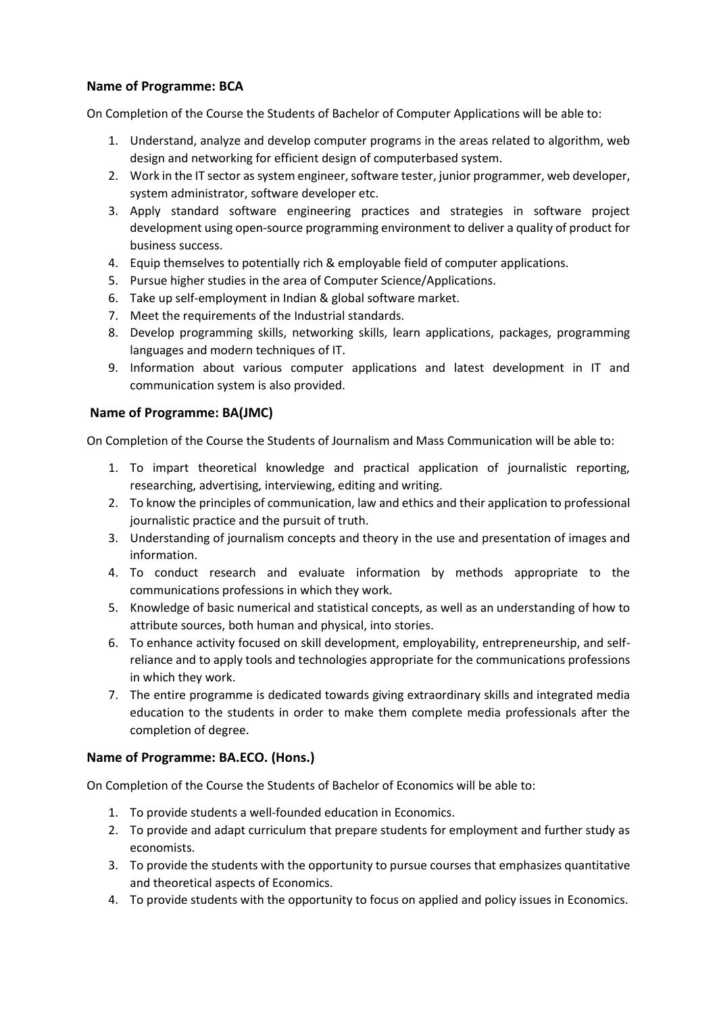## **Name of Programme: BCA**

On Completion of the Course the Students of Bachelor of Computer Applications will be able to:

- 1. Understand, analyze and develop computer programs in the areas related to algorithm, web design and networking for efficient design of computerbased system.
- 2. Work in the IT sector as system engineer, software tester, junior programmer, web developer, system administrator, software developer etc.
- 3. Apply standard software engineering practices and strategies in software project development using open-source programming environment to deliver a quality of product for business success.
- 4. Equip themselves to potentially rich & employable field of computer applications.
- 5. Pursue higher studies in the area of Computer Science/Applications.
- 6. Take up self-employment in Indian & global software market.
- 7. Meet the requirements of the Industrial standards.
- 8. Develop programming skills, networking skills, learn applications, packages, programming languages and modern techniques of IT.
- 9. Information about various computer applications and latest development in IT and communication system is also provided.

### **Name of Programme: BA(JMC)**

On Completion of the Course the Students of Journalism and Mass Communication will be able to:

- 1. To impart theoretical knowledge and practical application of journalistic reporting, researching, advertising, interviewing, editing and writing.
- 2. To know the principles of communication, law and ethics and their application to professional journalistic practice and the pursuit of truth.
- 3. Understanding of journalism concepts and theory in the use and presentation of images and information.
- 4. To conduct research and evaluate information by methods appropriate to the communications professions in which they work.
- 5. Knowledge of basic numerical and statistical concepts, as well as an understanding of how to attribute sources, both human and physical, into stories.
- 6. To enhance activity focused on skill development, employability, entrepreneurship, and selfreliance and to apply tools and technologies appropriate for the communications professions in which they work.
- 7. The entire programme is dedicated towards giving extraordinary skills and integrated media education to the students in order to make them complete media professionals after the completion of degree.

### **Name of Programme: BA.ECO. (Hons.)**

On Completion of the Course the Students of Bachelor of Economics will be able to:

- 1. To provide students a well-founded education in Economics.
- 2. To provide and adapt curriculum that prepare students for employment and further study as economists.
- 3. To provide the students with the opportunity to pursue courses that emphasizes quantitative and theoretical aspects of Economics.
- 4. To provide students with the opportunity to focus on applied and policy issues in Economics.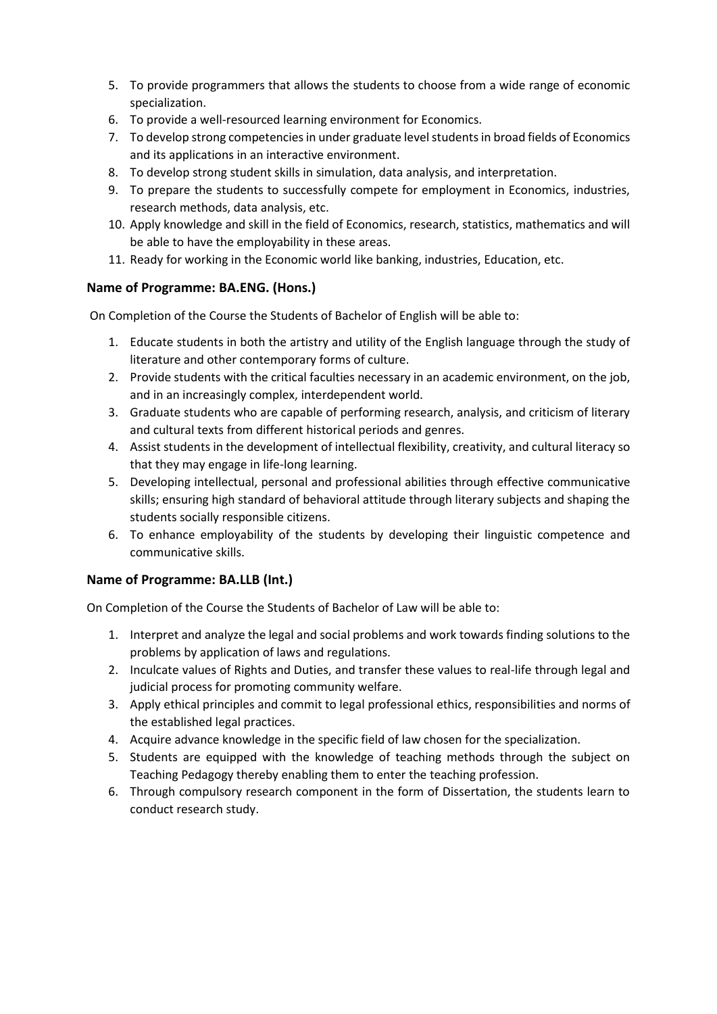- 5. To provide programmers that allows the students to choose from a wide range of economic specialization.
- 6. To provide a well-resourced learning environment for Economics.
- 7. To develop strong competencies in under graduate level students in broad fields of Economics and its applications in an interactive environment.
- 8. To develop strong student skills in simulation, data analysis, and interpretation.
- 9. To prepare the students to successfully compete for employment in Economics, industries, research methods, data analysis, etc.
- 10. Apply knowledge and skill in the field of Economics, research, statistics, mathematics and will be able to have the employability in these areas.
- 11. Ready for working in the Economic world like banking, industries, Education, etc.

### **Name of Programme: BA.ENG. (Hons.)**

On Completion of the Course the Students of Bachelor of English will be able to:

- 1. Educate students in both the artistry and utility of the English language through the study of literature and other contemporary forms of culture.
- 2. Provide students with the critical faculties necessary in an academic environment, on the job, and in an increasingly complex, interdependent world.
- 3. Graduate students who are capable of performing research, analysis, and criticism of literary and cultural texts from different historical periods and genres.
- 4. Assist students in the development of intellectual flexibility, creativity, and cultural literacy so that they may engage in life-long learning.
- 5. Developing intellectual, personal and professional abilities through effective communicative skills; ensuring high standard of behavioral attitude through literary subjects and shaping the students socially responsible citizens.
- 6. To enhance employability of the students by developing their linguistic competence and communicative skills.

### **Name of Programme: BA.LLB (Int.)**

On Completion of the Course the Students of Bachelor of Law will be able to:

- 1. Interpret and analyze the legal and social problems and work towards finding solutions to the problems by application of laws and regulations.
- 2. Inculcate values of Rights and Duties, and transfer these values to real-life through legal and judicial process for promoting community welfare.
- 3. Apply ethical principles and commit to legal professional ethics, responsibilities and norms of the established legal practices.
- 4. Acquire advance knowledge in the specific field of law chosen for the specialization.
- 5. Students are equipped with the knowledge of teaching methods through the subject on Teaching Pedagogy thereby enabling them to enter the teaching profession.
- 6. Through compulsory research component in the form of Dissertation, the students learn to conduct research study.